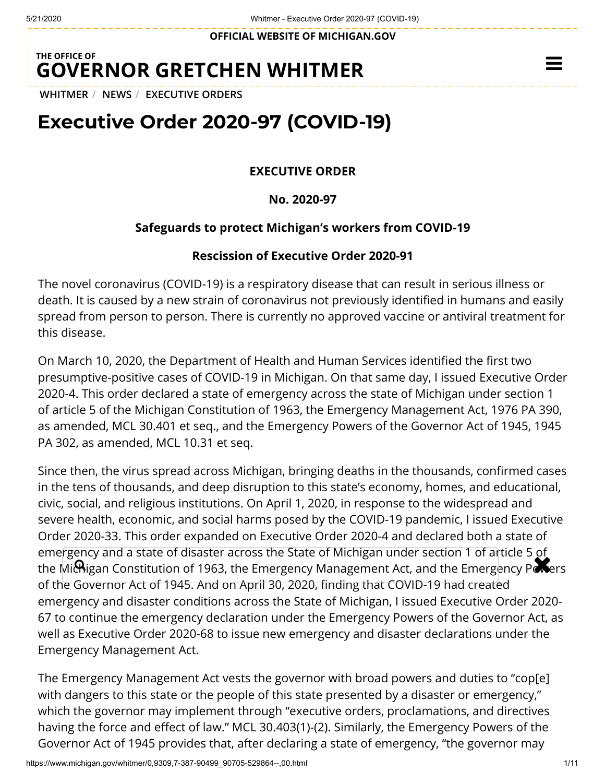**OFFICIAL WEBSITE OF [MICHIGAN.GOV](https://www.michigan.gov/)**

## **THE OFFICE OF GOVERNOR [GRETCHEN WHITMER](https://www.michigan.gov/whitmer/)**

**[WHITMER](https://www.michigan.gov/whitmer/)** / **[NEWS](https://www.michigan.gov/whitmer/0,9309,7-387-90499---,00.html)** / **[EXECUTIVE ORDERS](https://www.michigan.gov/whitmer/0,9309,7-387-90499_90705---,00.html)**

# **Executive Order 2020-97 (COVID-19)**

**EXECUTIVE ORDER**

**No. 2020-97**

#### **Safeguards to protect Michigan's workers from COVID-19**

#### **Rescission of Executive Order 2020-91**

The novel coronavirus (COVID-19) is a respiratory disease that can result in serious illness or death. It is caused by a new strain of coronavirus not previously identified in humans and easily spread from person to person. There is currently no approved vaccine or antiviral treatment for this disease.

On March 10, 2020, the Department of Health and Human Services identified the first two presumptive-positive cases of COVID-19 in Michigan. On that same day, I issued Executive Order 2020-4. This order declared a state of emergency across the state of Michigan under section 1 of article 5 of the Michigan Constitution of 1963, the Emergency Management Act, 1976 PA 390, as amended, MCL 30.401 et seq., and the Emergency Powers of the Governor Act of 1945, 1945 PA 302, as amended, MCL 10.31 et seq.

Since then, the virus spread across Michigan, bringing deaths in the thousands, confirmed cases in the tens of thousands, and deep disruption to this state's economy, homes, and educational, civic, social, and religious institutions. On April 1, 2020, in response to the widespread and severe health, economic, and social harms posed by the COVID-19 pandemic, I issued Executive Order 2020-33. This order expanded on Executive Order 2020-4 and declared both a state of emergency and a state of disaster across the State of Michigan under section 1 of article 5 of effiel gency and a state of disaster across the state of Michigan difder section 1 or allicle 5 of<br>the Michigan Constitution of 1963, the Emergency Management Act, and the Emergency Powers of the Governor Act of 1945. And on April 30, 2020, finding that COVID-19 had created emergency and disaster conditions across the State of Michigan, I issued Executive Order 2020- 67 to continue the emergency declaration under the Emergency Powers of the Governor Act, as well as Executive Order 2020-68 to issue new emergency and disaster declarations under the Emergency Management Act.

The Emergency Management Act vests the governor with broad powers and duties to "cop[e] with dangers to this state or the people of this state presented by a disaster or emergency," which the governor may implement through "executive orders, proclamations, and directives having the force and effect of law." MCL 30.403(1)-(2). Similarly, the Emergency Powers of the Governor Act of 1945 provides that, after declaring a state of emergency, "the governor may

 $\equiv$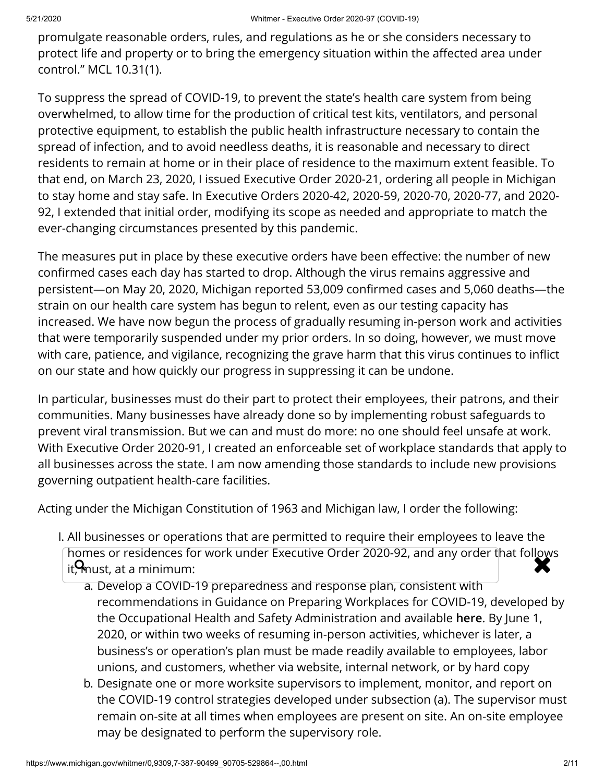promulgate reasonable orders, rules, and regulations as he or she considers necessary to protect life and property or to bring the emergency situation within the affected area under control." MCL 10.31(1).

To suppress the spread of COVID-19, to prevent the state's health care system from being overwhelmed, to allow time for the production of critical test kits, ventilators, and personal protective equipment, to establish the public health infrastructure necessary to contain the spread of infection, and to avoid needless deaths, it is reasonable and necessary to direct residents to remain at home or in their place of residence to the maximum extent feasible. To that end, on March 23, 2020, I issued Executive Order 2020-21, ordering all people in Michigan to stay home and stay safe. In Executive Orders 2020-42, 2020-59, 2020-70, 2020-77, and 2020- 92, I extended that initial order, modifying its scope as needed and appropriate to match the ever-changing circumstances presented by this pandemic.

The measures put in place by these executive orders have been effective: the number of new confirmed cases each day has started to drop. Although the virus remains aggressive and persistent—on May 20, 2020, Michigan reported 53,009 confirmed cases and 5,060 deaths—the strain on our health care system has begun to relent, even as our testing capacity has increased. We have now begun the process of gradually resuming in-person work and activities that were temporarily suspended under my prior orders. In so doing, however, we must move with care, patience, and vigilance, recognizing the grave harm that this virus continues to inflict on our state and how quickly our progress in suppressing it can be undone.

In particular, businesses must do their part to protect their employees, their patrons, and their communities. Many businesses have already done so by implementing robust safeguards to prevent viral transmission. But we can and must do more: no one should feel unsafe at work. With Executive Order 2020-91, I created an enforceable set of workplace standards that apply to all businesses across the state. I am now amending those standards to include new provisions governing outpatient health-care facilities.

Acting under the Michigan Constitution of 1963 and Michigan law, I order the following:

- I. All businesses or operations that are permitted to require their employees to leave the homes or residences for work under Executive Order 2020-92, and any order that follows<br>it, must, at a minimum:  $it$ <sup>M</sup> must, at a minimum:
	- a. Develop a COVID-19 preparedness and response plan, consistent with recommendations in Guidance on Preparing Workplaces for COVID-19, developed by the Occupational Health and Safety Administration and available **[here](https://www.osha.gov/Publications/OSHA3990.pdf)**. By June 1, 2020, or within two weeks of resuming in-person activities, whichever is later, a business's or operation's plan must be made readily available to employees, labor unions, and customers, whether via website, internal network, or by hard copy
	- b. Designate one or more worksite supervisors to implement, monitor, and report on the COVID-19 control strategies developed under subsection (a). The supervisor must remain on-site at all times when employees are present on site. An on-site employee may be designated to perform the supervisory role.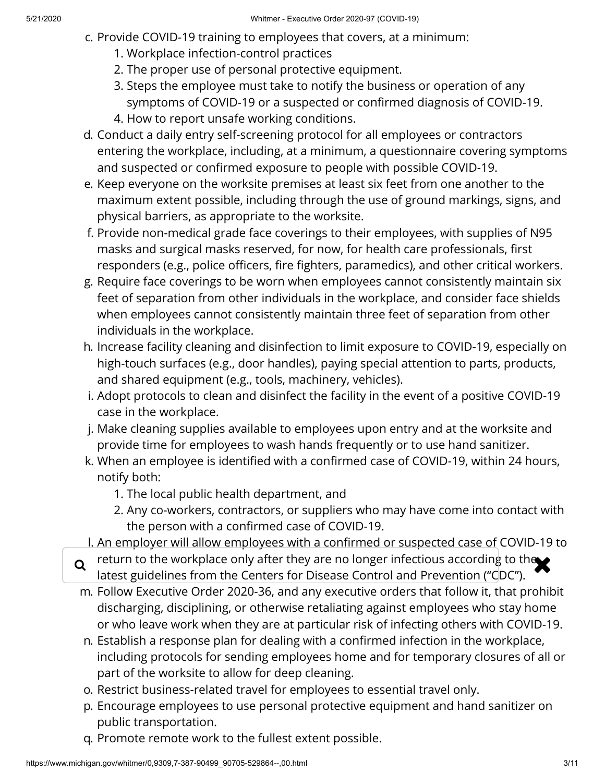- c. Provide COVID-19 training to employees that covers, at a minimum:
	- 1. Workplace infection-control practices
	- 2. The proper use of personal protective equipment.
	- 3. Steps the employee must take to notify the business or operation of any symptoms of COVID-19 or a suspected or confirmed diagnosis of COVID-19. 4. How to report unsafe working conditions.
- d. Conduct a daily entry self-screening protocol for all employees or contractors entering the workplace, including, at a minimum, a questionnaire covering symptoms and suspected or confirmed exposure to people with possible COVID-19.
- e. Keep everyone on the worksite premises at least six feet from one another to the maximum extent possible, including through the use of ground markings, signs, and physical barriers, as appropriate to the worksite.
- f. Provide non-medical grade face coverings to their employees, with supplies of N95 masks and surgical masks reserved, for now, for health care professionals, first responders (e.g., police officers, fire fighters, paramedics), and other critical workers.
- g. Require face coverings to be worn when employees cannot consistently maintain six feet of separation from other individuals in the workplace, and consider face shields when employees cannot consistently maintain three feet of separation from other individuals in the workplace.
- h. Increase facility cleaning and disinfection to limit exposure to COVID-19, especially on high-touch surfaces (e.g., door handles), paying special attention to parts, products, and shared equipment (e.g., tools, machinery, vehicles).
- i. Adopt protocols to clean and disinfect the facility in the event of a positive COVID-19 case in the workplace.
- j. Make cleaning supplies available to employees upon entry and at the worksite and provide time for employees to wash hands frequently or to use hand sanitizer.
- k. When an employee is identified with a confirmed case of COVID-19, within 24 hours, notify both:
	- 1. The local public health department, and
	- 2. Any co-workers, contractors, or suppliers who may have come into contact with the person with a confirmed case of COVID-19.
- I. An employer will allow employees with a confirmed or suspected case of COVID-19 to
- $\alpha$  return to the workplace only after they are no longer infectious according to the  $\blacktriangleright$ latest guidelines from the Centers for Disease Control and Prevention ("CDC").
- m. Follow Executive Order 2020-36, and any executive orders that follow it, that prohibit discharging, disciplining, or otherwise retaliating against employees who stay home or who leave work when they are at particular risk of infecting others with COVID-19.
- n. Establish a response plan for dealing with a confirmed infection in the workplace, including protocols for sending employees home and for temporary closures of all or part of the worksite to allow for deep cleaning.
- o. Restrict business-related travel for employees to essential travel only.
- p. Encourage employees to use personal protective equipment and hand sanitizer on public transportation.
- q. Promote remote work to the fullest extent possible.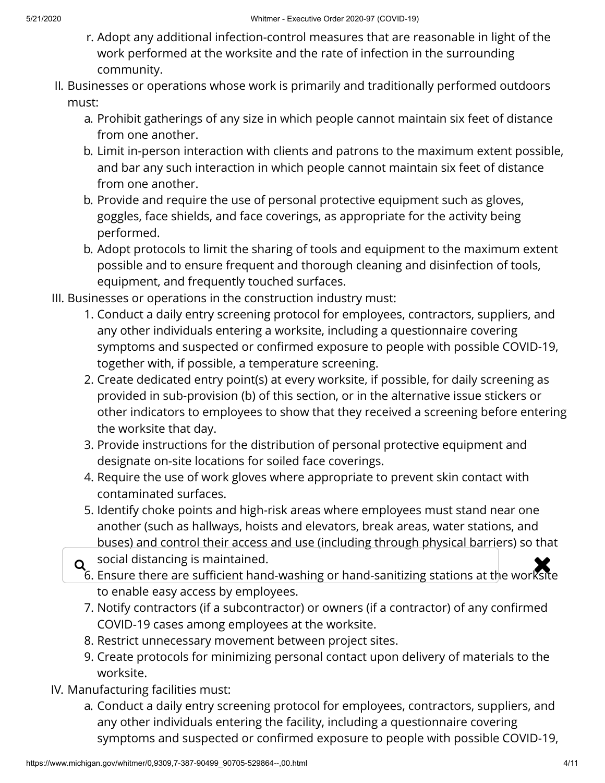- r. Adopt any additional infection-control measures that are reasonable in light of the work performed at the worksite and the rate of infection in the surrounding community.
- II. Businesses or operations whose work is primarily and traditionally performed outdoors must:
	- a. Prohibit gatherings of any size in which people cannot maintain six feet of distance from one another.
	- b. Limit in-person interaction with clients and patrons to the maximum extent possible, and bar any such interaction in which people cannot maintain six feet of distance from one another.
	- b. Provide and require the use of personal protective equipment such as gloves, goggles, face shields, and face coverings, as appropriate for the activity being performed.
	- b. Adopt protocols to limit the sharing of tools and equipment to the maximum extent possible and to ensure frequent and thorough cleaning and disinfection of tools, equipment, and frequently touched surfaces.
- III. Businesses or operations in the construction industry must:
	- 1. Conduct a daily entry screening protocol for employees, contractors, suppliers, and any other individuals entering a worksite, including a questionnaire covering symptoms and suspected or confirmed exposure to people with possible COVID-19, together with, if possible, a temperature screening.
	- 2. Create dedicated entry point(s) at every worksite, if possible, for daily screening as provided in sub-provision (b) of this section, or in the alternative issue stickers or other indicators to employees to show that they received a screening before entering the worksite that day.
	- 3. Provide instructions for the distribution of personal protective equipment and designate on-site locations for soiled face coverings.
	- 4. Require the use of work gloves where appropriate to prevent skin contact with contaminated surfaces.
	- 5. Identify choke points and high-risk areas where employees must stand near one another (such as hallways, hoists and elevators, break areas, water stations, and buses) and control their access and use (including through physical barriers) so that
	- social distancing is maintained.
	- $\alpha$  social distancing is maintained.<br>6. Ensure there are sufficient hand-washing or hand-sanitizing stations at the worksite to enable easy access by employees.
		- 7. Notify contractors (if a subcontractor) or owners (if a contractor) of any confirmed COVID-19 cases among employees at the worksite.
		- 8. Restrict unnecessary movement between project sites.
		- 9. Create protocols for minimizing personal contact upon delivery of materials to the worksite.
- IV. Manufacturing facilities must:
	- a. Conduct a daily entry screening protocol for employees, contractors, suppliers, and any other individuals entering the facility, including a questionnaire covering symptoms and suspected or confirmed exposure to people with possible COVID-19,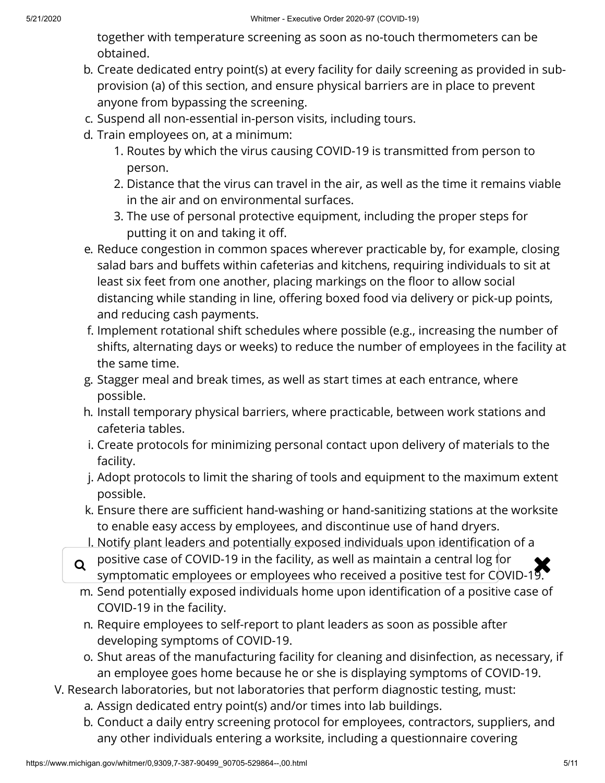together with temperature screening as soon as no-touch thermometers can be obtained.

- b. Create dedicated entry point(s) at every facility for daily screening as provided in subprovision (a) of this section, and ensure physical barriers are in place to prevent anyone from bypassing the screening.
- c. Suspend all non-essential in-person visits, including tours.
- d. Train employees on, at a minimum:
	- 1. Routes by which the virus causing COVID-19 is transmitted from person to person.
	- 2. Distance that the virus can travel in the air, as well as the time it remains viable in the air and on environmental surfaces.
	- 3. The use of personal protective equipment, including the proper steps for putting it on and taking it off.
- e. Reduce congestion in common spaces wherever practicable by, for example, closing salad bars and buffets within cafeterias and kitchens, requiring individuals to sit at least six feet from one another, placing markings on the floor to allow social distancing while standing in line, offering boxed food via delivery or pick-up points, and reducing cash payments.
- f. Implement rotational shift schedules where possible (e.g., increasing the number of shifts, alternating days or weeks) to reduce the number of employees in the facility at the same time.
- g. Stagger meal and break times, as well as start times at each entrance, where possible.
- h. Install temporary physical barriers, where practicable, between work stations and cafeteria tables.
- i. Create protocols for minimizing personal contact upon delivery of materials to the facility.
- j. Adopt protocols to limit the sharing of tools and equipment to the maximum extent possible.
- k. Ensure there are sufficient hand-washing or hand-sanitizing stations at the worksite to enable easy access by employees, and discontinue use of hand dryers.
- I. Notify plant leaders and potentially exposed individuals upon identification of a
- $\alpha$  positive case of COVID-19 in the facility, as well as maintain a central log for  $\alpha$  symptomatic employees or employees who received a positive test for COVID-19 symptomatic employees or employees who received a positive test for COVID-19.
- m. Send potentially exposed individuals home upon identification of a positive case of COVID-19 in the facility.
- n. Require employees to self-report to plant leaders as soon as possible after developing symptoms of COVID-19.
- o. Shut areas of the manufacturing facility for cleaning and disinfection, as necessary, if an employee goes home because he or she is displaying symptoms of COVID-19.
- V. Research laboratories, but not laboratories that perform diagnostic testing, must:
	- a. Assign dedicated entry point(s) and/or times into lab buildings.
	- b. Conduct a daily entry screening protocol for employees, contractors, suppliers, and any other individuals entering a worksite, including a questionnaire covering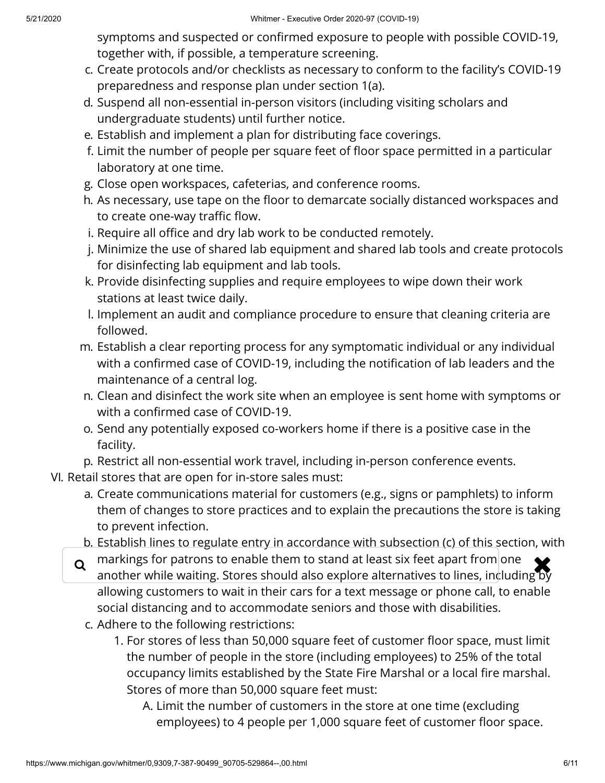symptoms and suspected or confirmed exposure to people with possible COVID-19, together with, if possible, a temperature screening.

- c. Create protocols and/or checklists as necessary to conform to the facility's COVID-19 preparedness and response plan under section 1(a).
- d. Suspend all non-essential in-person visitors (including visiting scholars and undergraduate students) until further notice.
- e. Establish and implement a plan for distributing face coverings.
- f. Limit the number of people per square feet of floor space permitted in a particular laboratory at one time.
- g. Close open workspaces, cafeterias, and conference rooms.
- h. As necessary, use tape on the floor to demarcate socially distanced workspaces and to create one-way traffic flow.
- i. Require all office and dry lab work to be conducted remotely.
- j. Minimize the use of shared lab equipment and shared lab tools and create protocols for disinfecting lab equipment and lab tools.
- k. Provide disinfecting supplies and require employees to wipe down their work stations at least twice daily.
- l. Implement an audit and compliance procedure to ensure that cleaning criteria are followed.
- m. Establish a clear reporting process for any symptomatic individual or any individual with a confirmed case of COVID-19, including the notification of lab leaders and the maintenance of a central log.
- n. Clean and disinfect the work site when an employee is sent home with symptoms or with a confirmed case of COVID-19.
- o. Send any potentially exposed co-workers home if there is a positive case in the facility.
- p. Restrict all non-essential work travel, including in-person conference events.
- VI. Retail stores that are open for in-store sales must:
	- a. Create communications material for customers (e.g., signs or pamphlets) to inform them of changes to store practices and to explain the precautions the store is taking to prevent infection.
	- b. Establish lines to regulate entry in accordance with subsection (c) of this section, with
	- $\alpha$  markings for patrons to enable them to stand at least six feet apart from one  $\alpha$ another while waiting. Stores should also explore alternatives to lines, induding  $\overline{\mathbf{b}}$ allowing customers to wait in their cars for a text message or phone call, to enable social distancing and to accommodate seniors and those with disabilities.
		- c. Adhere to the following restrictions:
			- 1. For stores of less than 50,000 square feet of customer floor space, must limit the number of people in the store (including employees) to 25% of the total occupancy limits established by the State Fire Marshal or a local fire marshal. Stores of more than 50,000 square feet must:
				- A. Limit the number of customers in the store at one time (excluding employees) to 4 people per 1,000 square feet of customer floor space.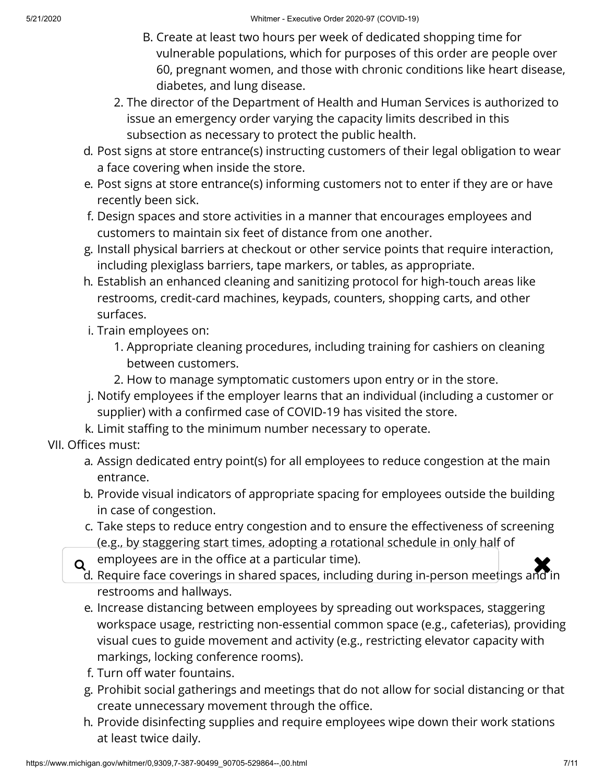- B. Create at least two hours per week of dedicated shopping time for vulnerable populations, which for purposes of this order are people over 60, pregnant women, and those with chronic conditions like heart disease, diabetes, and lung disease.
- 2. The director of the Department of Health and Human Services is authorized to issue an emergency order varying the capacity limits described in this subsection as necessary to protect the public health.
- d. Post signs at store entrance(s) instructing customers of their legal obligation to wear a face covering when inside the store.
- e. Post signs at store entrance(s) informing customers not to enter if they are or have recently been sick.
- f. Design spaces and store activities in a manner that encourages employees and customers to maintain six feet of distance from one another.
- g. Install physical barriers at checkout or other service points that require interaction, including plexiglass barriers, tape markers, or tables, as appropriate.
- h. Establish an enhanced cleaning and sanitizing protocol for high-touch areas like restrooms, credit-card machines, keypads, counters, shopping carts, and other surfaces.
- i. Train employees on:
	- 1. Appropriate cleaning procedures, including training for cashiers on cleaning between customers.
	- 2. How to manage symptomatic customers upon entry or in the store.
- j. Notify employees if the employer learns that an individual (including a customer or supplier) with a confirmed case of COVID-19 has visited the store.
- k. Limit staffing to the minimum number necessary to operate.

### VII. Offices must:

- a. Assign dedicated entry point(s) for all employees to reduce congestion at the main entrance.
- b. Provide visual indicators of appropriate spacing for employees outside the building in case of congestion.
- c. Take steps to reduce entry congestion and to ensure the effectiveness of screening (e.g., by staggering start times, adopting a rotational schedule in only half of
- 
- $\alpha$  employees are in the office at a particular time).<br>A Bequire face coverings in shared spaces, including during in-person meetings and i d. Require face coverings in shared spaces, including during in-person meetings and in restrooms and hallways.
	- e. Increase distancing between employees by spreading out workspaces, staggering workspace usage, restricting non-essential common space (e.g., cafeterias), providing visual cues to guide movement and activity (e.g., restricting elevator capacity with markings, locking conference rooms).
	- f. Turn off water fountains.
	- g. Prohibit social gatherings and meetings that do not allow for social distancing or that create unnecessary movement through the office.
	- h. Provide disinfecting supplies and require employees wipe down their work stations at least twice daily.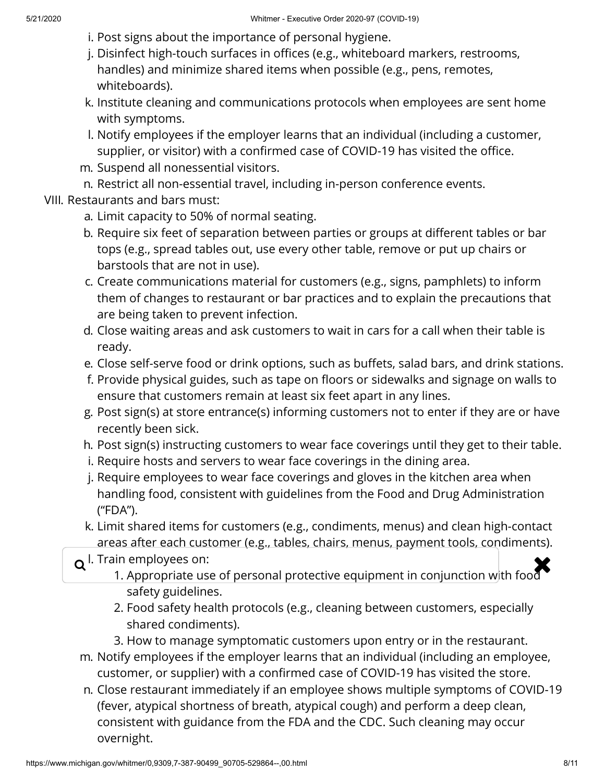- i. Post signs about the importance of personal hygiene.
- j. Disinfect high-touch surfaces in offices (e.g., whiteboard markers, restrooms, handles) and minimize shared items when possible (e.g., pens, remotes, whiteboards).
- k. Institute cleaning and communications protocols when employees are sent home with symptoms.
- l. Notify employees if the employer learns that an individual (including a customer, supplier, or visitor) with a confirmed case of COVID-19 has visited the office.
- m. Suspend all nonessential visitors.
- n. Restrict all non-essential travel, including in-person conference events.
- VIII. Restaurants and bars must:
	- a. Limit capacity to 50% of normal seating.
	- b. Require six feet of separation between parties or groups at different tables or bar tops (e.g., spread tables out, use every other table, remove or put up chairs or barstools that are not in use).
	- c. Create communications material for customers (e.g., signs, pamphlets) to inform them of changes to restaurant or bar practices and to explain the precautions that are being taken to prevent infection.
	- d. Close waiting areas and ask customers to wait in cars for a call when their table is ready.
	- e. Close self-serve food or drink options, such as buffets, salad bars, and drink stations.
	- f. Provide physical guides, such as tape on floors or sidewalks and signage on walls to ensure that customers remain at least six feet apart in any lines.
	- g. Post sign(s) at store entrance(s) informing customers not to enter if they are or have recently been sick.
	- h. Post sign(s) instructing customers to wear face coverings until they get to their table.
	- i. Require hosts and servers to wear face coverings in the dining area.
	- j. Require employees to wear face coverings and gloves in the kitchen area when handling food, consistent with guidelines from the Food and Drug Administration ("FDA").
	- k. Limit shared items for customers (e.g., condiments, menus) and clean high-contact areas after each customer (e.g., tables, chairs, menus, payment tools, condiments).
	- l. Train employees on:
	- $\mathsf q$  l. Train employees on:<br>1. Appropriate use of personal protective equipment in conjunction with food safety guidelines.
		- 2. Food safety health protocols (e.g., cleaning between customers, especially shared condiments).
		- 3. How to manage symptomatic customers upon entry or in the restaurant.
	- m. Notify employees if the employer learns that an individual (including an employee, customer, or supplier) with a confirmed case of COVID-19 has visited the store.
	- n. Close restaurant immediately if an employee shows multiple symptoms of COVID-19 (fever, atypical shortness of breath, atypical cough) and perform a deep clean, consistent with guidance from the FDA and the CDC. Such cleaning may occur overnight.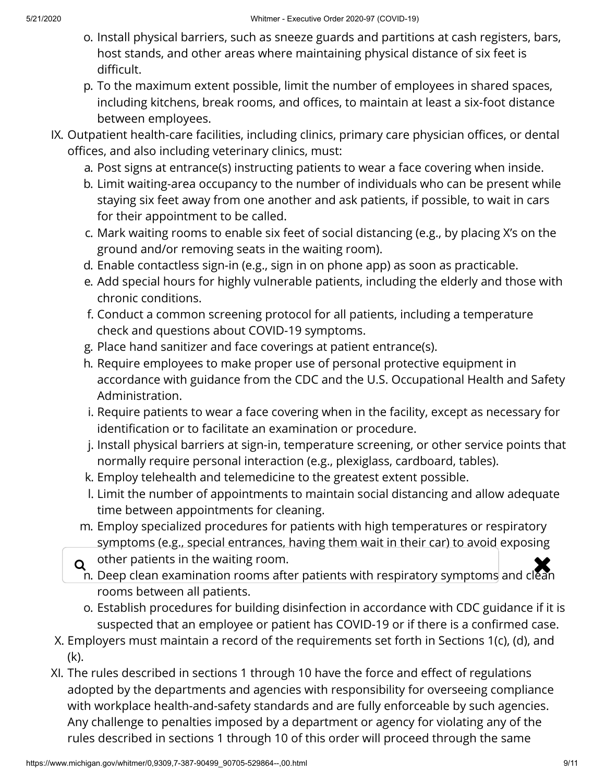- o. Install physical barriers, such as sneeze guards and partitions at cash registers, bars, host stands, and other areas where maintaining physical distance of six feet is difficult.
- p. To the maximum extent possible, limit the number of employees in shared spaces, including kitchens, break rooms, and offices, to maintain at least a six-foot distance between employees.
- IX. Outpatient health-care facilities, including clinics, primary care physician offices, or dental offices, and also including veterinary clinics, must:
	- a. Post signs at entrance(s) instructing patients to wear a face covering when inside.
	- b. Limit waiting-area occupancy to the number of individuals who can be present while staying six feet away from one another and ask patients, if possible, to wait in cars for their appointment to be called.
	- c. Mark waiting rooms to enable six feet of social distancing (e.g., by placing X's on the ground and/or removing seats in the waiting room).
	- d. Enable contactless sign-in (e.g., sign in on phone app) as soon as practicable.
	- e. Add special hours for highly vulnerable patients, including the elderly and those with chronic conditions.
	- f. Conduct a common screening protocol for all patients, including a temperature check and questions about COVID-19 symptoms.
	- g. Place hand sanitizer and face coverings at patient entrance(s).
	- h. Require employees to make proper use of personal protective equipment in accordance with guidance from the CDC and the U.S. Occupational Health and Safety Administration.
	- i. Require patients to wear a face covering when in the facility, except as necessary for identification or to facilitate an examination or procedure.
	- j. Install physical barriers at sign-in, temperature screening, or other service points that normally require personal interaction (e.g., plexiglass, cardboard, tables).
	- k. Employ telehealth and telemedicine to the greatest extent possible.
	- l. Limit the number of appointments to maintain social distancing and allow adequate time between appointments for cleaning.
	- m. Employ specialized procedures for patients with high temperatures or respiratory symptoms (e.g., special entrances, having them wait in their car) to avoid exposing
	- other patients in the waiting room.
	- $\alpha$  other patients in the waiting room.<br>In. Deep clean examination rooms after patients with respiratory symptoms and clean rooms between all patients.
		- o. Establish procedures for building disinfection in accordance with CDC guidance if it is suspected that an employee or patient has COVID-19 or if there is a confirmed case.
- X. Employers must maintain a record of the requirements set forth in Sections 1(c), (d), and (k).
- XI. The rules described in sections 1 through 10 have the force and effect of regulations adopted by the departments and agencies with responsibility for overseeing compliance with workplace health-and-safety standards and are fully enforceable by such agencies. Any challenge to penalties imposed by a department or agency for violating any of the rules described in sections 1 through 10 of this order will proceed through the same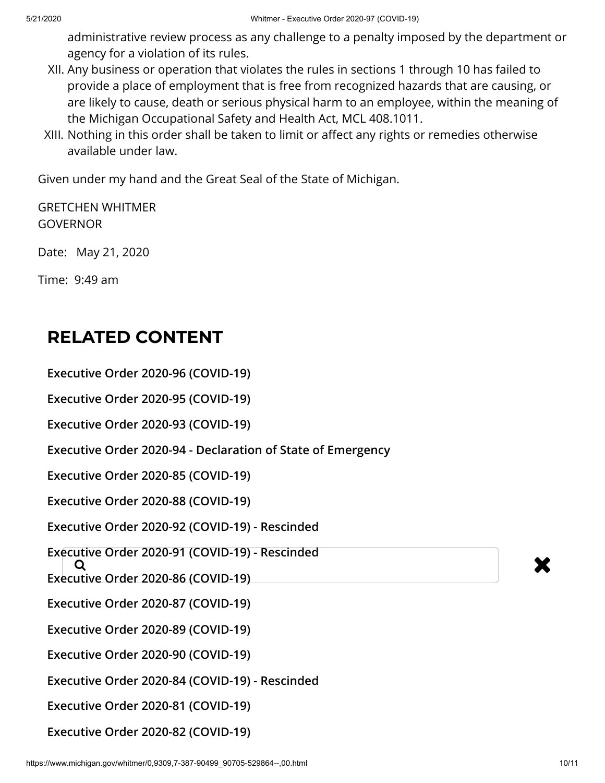administrative review process as any challenge to a penalty imposed by the department or agency for a violation of its rules.

- XII. Any business or operation that violates the rules in sections 1 through 10 has failed to provide a place of employment that is free from recognized hazards that are causing, or are likely to cause, death or serious physical harm to an employee, within the meaning of the Michigan Occupational Safety and Health Act, MCL 408.1011.
- XIII. Nothing in this order shall be taken to limit or affect any rights or remedies otherwise available under law.

Given under my hand and the Great Seal of the State of Michigan.

GRETCHEN WHITMER **GOVERNOR** 

Date: May 21, 2020

Time: 9:49 am

## **RELATED CONTENT**

**[Executive Order 2020-96 \(COVID-19\)](https://www.michigan.gov/whitmer/0,9309,7-387-90499_90705-529860--,00.html)**

**[Executive Order 2020-95 \(COVID-19\)](https://www.michigan.gov/whitmer/0,9309,7-387-90499_90705-529855--,00.html)**

**[Executive Order 2020-93 \(COVID-19\)](https://www.michigan.gov/whitmer/0,9309,7-387-90499_90705-529730--,00.html)**

**[Executive Order 2020-94 - Declaration of State of Emergency](https://www.michigan.gov/whitmer/0,9309,7-387-90499_90705-529649--,00.html)**

**[Executive Order 2020-85 \(COVID-19\)](https://www.michigan.gov/whitmer/0,9309,7-387-90499_90705-529459--,00.html)**

**[Executive Order 2020-88 \(COVID-19\)](https://www.michigan.gov/whitmer/0,9309,7-387-90499_90705-529456--,00.html)**

**[Executive Order 2020-92 \(COVID-19\) - Rescinded](https://www.michigan.gov/whitmer/0,9309,7-387-90499_90705-529476--,00.html)**

dive Order 2020-91 (COVID-19) - Rescritued<br>Q<br>utius Order 2020 96 (COVID-19) **[Executive Order 2020-91 \(COVID-19\) - Rescinded](https://www.michigan.gov/whitmer/0,9309,7-387-90499_90705-529474--,00.html)**

**[Executive Order 2020-86 \(COVID-19\)](https://www.michigan.gov/whitmer/0,9309,7-387-90499_90705-529458--,00.html)**

**[Executive Order 2020-87 \(COVID-19\)](https://www.michigan.gov/whitmer/0,9309,7-387-90499_90705-529457--,00.html)**

**[Executive Order 2020-89 \(COVID-19\)](https://www.michigan.gov/whitmer/0,9309,7-387-90499_90705-529455--,00.html)**

**[Executive Order 2020-90 \(COVID-19\)](https://www.michigan.gov/whitmer/0,9309,7-387-90499_90705-529454--,00.html)**

**[Executive Order 2020-84 \(COVID-19\) - Rescinded](https://www.michigan.gov/whitmer/0,9309,7-387-90499_90705-529184--,00.html)**

**[Executive Order 2020-81 \(COVID-19\)](https://www.michigan.gov/whitmer/0,9309,7-387-90499_90705-529191--,00.html)**

**[Executive Order 2020-82 \(COVID-19\)](https://www.michigan.gov/whitmer/0,9309,7-387-90499_90705-529190--,00.html)**